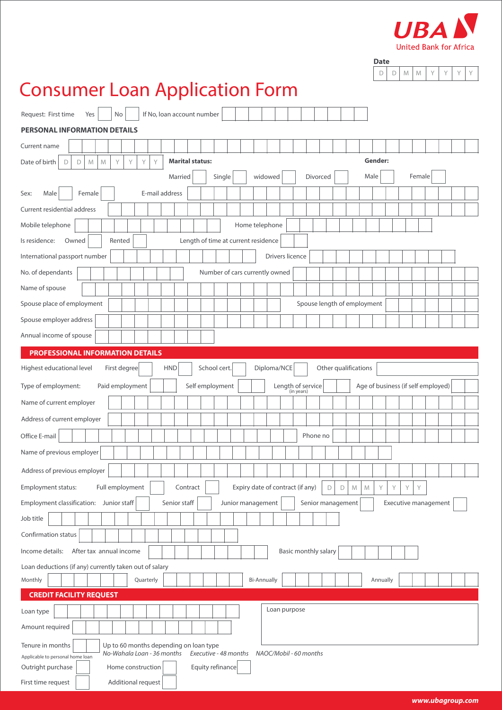

| <b>Date</b> |   |  |  |  |
|-------------|---|--|--|--|
|             | ۱ |  |  |  |

# Consumer Loan Application Form

| <b>PERSONAL INFORMATION DETAILS</b><br>Current name<br>Gender:<br>Y<br><b>Marital status:</b><br>Date of birth<br>Y<br>Y<br>Y<br>D<br>M<br>M<br>D<br>Single<br>widowed<br>Divorced<br>Male<br>Female<br>Married<br>E-mail address<br>Male<br>Female<br>Sex:<br>Current residential address<br>Mobile telephone<br>Home telephone<br>Owned<br>Length of time at current residence<br>Is residence:<br>Rented<br>International passport number<br>Drivers licence<br>No. of dependants<br>Number of cars currently owned<br>Name of spouse<br>Spouse place of employment<br>Spouse length of employment<br>Spouse employer address<br>Annual income of spouse<br><b>PROFESSIONAL INFORMATION DETAILS</b><br>School cert.<br>Diploma/NCE<br>Other qualifications<br>Highest educational level<br>First degree<br>HND<br>Self employment<br>Length of service<br>Type of employment:<br>Paid employment<br>Age of business (if self employed)<br>(in years)<br>Name of current employer<br>Address of current employer<br>Phone no<br>Office E-mail<br>Name of previous employer<br>Address of previous employer<br>Expiry date of contract (if any)<br>Employment status:<br>Full employment<br>Y<br>Contract<br>$\mathsf D$<br>$\mathsf D$<br>${\mathbb M}$<br>Y<br>Y<br>Y<br>M<br>Employment classification: Junior staff<br>Senior staff<br>Junior management<br>Senior management<br>Executive management<br>Job title |  |  |  |  |  |  |
|-------------------------------------------------------------------------------------------------------------------------------------------------------------------------------------------------------------------------------------------------------------------------------------------------------------------------------------------------------------------------------------------------------------------------------------------------------------------------------------------------------------------------------------------------------------------------------------------------------------------------------------------------------------------------------------------------------------------------------------------------------------------------------------------------------------------------------------------------------------------------------------------------------------------------------------------------------------------------------------------------------------------------------------------------------------------------------------------------------------------------------------------------------------------------------------------------------------------------------------------------------------------------------------------------------------------------------------------------------------------------------------------------------------------------|--|--|--|--|--|--|
|                                                                                                                                                                                                                                                                                                                                                                                                                                                                                                                                                                                                                                                                                                                                                                                                                                                                                                                                                                                                                                                                                                                                                                                                                                                                                                                                                                                                                         |  |  |  |  |  |  |
|                                                                                                                                                                                                                                                                                                                                                                                                                                                                                                                                                                                                                                                                                                                                                                                                                                                                                                                                                                                                                                                                                                                                                                                                                                                                                                                                                                                                                         |  |  |  |  |  |  |
|                                                                                                                                                                                                                                                                                                                                                                                                                                                                                                                                                                                                                                                                                                                                                                                                                                                                                                                                                                                                                                                                                                                                                                                                                                                                                                                                                                                                                         |  |  |  |  |  |  |
|                                                                                                                                                                                                                                                                                                                                                                                                                                                                                                                                                                                                                                                                                                                                                                                                                                                                                                                                                                                                                                                                                                                                                                                                                                                                                                                                                                                                                         |  |  |  |  |  |  |
|                                                                                                                                                                                                                                                                                                                                                                                                                                                                                                                                                                                                                                                                                                                                                                                                                                                                                                                                                                                                                                                                                                                                                                                                                                                                                                                                                                                                                         |  |  |  |  |  |  |
|                                                                                                                                                                                                                                                                                                                                                                                                                                                                                                                                                                                                                                                                                                                                                                                                                                                                                                                                                                                                                                                                                                                                                                                                                                                                                                                                                                                                                         |  |  |  |  |  |  |
|                                                                                                                                                                                                                                                                                                                                                                                                                                                                                                                                                                                                                                                                                                                                                                                                                                                                                                                                                                                                                                                                                                                                                                                                                                                                                                                                                                                                                         |  |  |  |  |  |  |
|                                                                                                                                                                                                                                                                                                                                                                                                                                                                                                                                                                                                                                                                                                                                                                                                                                                                                                                                                                                                                                                                                                                                                                                                                                                                                                                                                                                                                         |  |  |  |  |  |  |
|                                                                                                                                                                                                                                                                                                                                                                                                                                                                                                                                                                                                                                                                                                                                                                                                                                                                                                                                                                                                                                                                                                                                                                                                                                                                                                                                                                                                                         |  |  |  |  |  |  |
|                                                                                                                                                                                                                                                                                                                                                                                                                                                                                                                                                                                                                                                                                                                                                                                                                                                                                                                                                                                                                                                                                                                                                                                                                                                                                                                                                                                                                         |  |  |  |  |  |  |
|                                                                                                                                                                                                                                                                                                                                                                                                                                                                                                                                                                                                                                                                                                                                                                                                                                                                                                                                                                                                                                                                                                                                                                                                                                                                                                                                                                                                                         |  |  |  |  |  |  |
|                                                                                                                                                                                                                                                                                                                                                                                                                                                                                                                                                                                                                                                                                                                                                                                                                                                                                                                                                                                                                                                                                                                                                                                                                                                                                                                                                                                                                         |  |  |  |  |  |  |
|                                                                                                                                                                                                                                                                                                                                                                                                                                                                                                                                                                                                                                                                                                                                                                                                                                                                                                                                                                                                                                                                                                                                                                                                                                                                                                                                                                                                                         |  |  |  |  |  |  |
|                                                                                                                                                                                                                                                                                                                                                                                                                                                                                                                                                                                                                                                                                                                                                                                                                                                                                                                                                                                                                                                                                                                                                                                                                                                                                                                                                                                                                         |  |  |  |  |  |  |
|                                                                                                                                                                                                                                                                                                                                                                                                                                                                                                                                                                                                                                                                                                                                                                                                                                                                                                                                                                                                                                                                                                                                                                                                                                                                                                                                                                                                                         |  |  |  |  |  |  |
|                                                                                                                                                                                                                                                                                                                                                                                                                                                                                                                                                                                                                                                                                                                                                                                                                                                                                                                                                                                                                                                                                                                                                                                                                                                                                                                                                                                                                         |  |  |  |  |  |  |
|                                                                                                                                                                                                                                                                                                                                                                                                                                                                                                                                                                                                                                                                                                                                                                                                                                                                                                                                                                                                                                                                                                                                                                                                                                                                                                                                                                                                                         |  |  |  |  |  |  |
|                                                                                                                                                                                                                                                                                                                                                                                                                                                                                                                                                                                                                                                                                                                                                                                                                                                                                                                                                                                                                                                                                                                                                                                                                                                                                                                                                                                                                         |  |  |  |  |  |  |
|                                                                                                                                                                                                                                                                                                                                                                                                                                                                                                                                                                                                                                                                                                                                                                                                                                                                                                                                                                                                                                                                                                                                                                                                                                                                                                                                                                                                                         |  |  |  |  |  |  |
|                                                                                                                                                                                                                                                                                                                                                                                                                                                                                                                                                                                                                                                                                                                                                                                                                                                                                                                                                                                                                                                                                                                                                                                                                                                                                                                                                                                                                         |  |  |  |  |  |  |
|                                                                                                                                                                                                                                                                                                                                                                                                                                                                                                                                                                                                                                                                                                                                                                                                                                                                                                                                                                                                                                                                                                                                                                                                                                                                                                                                                                                                                         |  |  |  |  |  |  |
|                                                                                                                                                                                                                                                                                                                                                                                                                                                                                                                                                                                                                                                                                                                                                                                                                                                                                                                                                                                                                                                                                                                                                                                                                                                                                                                                                                                                                         |  |  |  |  |  |  |
|                                                                                                                                                                                                                                                                                                                                                                                                                                                                                                                                                                                                                                                                                                                                                                                                                                                                                                                                                                                                                                                                                                                                                                                                                                                                                                                                                                                                                         |  |  |  |  |  |  |
|                                                                                                                                                                                                                                                                                                                                                                                                                                                                                                                                                                                                                                                                                                                                                                                                                                                                                                                                                                                                                                                                                                                                                                                                                                                                                                                                                                                                                         |  |  |  |  |  |  |
|                                                                                                                                                                                                                                                                                                                                                                                                                                                                                                                                                                                                                                                                                                                                                                                                                                                                                                                                                                                                                                                                                                                                                                                                                                                                                                                                                                                                                         |  |  |  |  |  |  |
| Confirmation status                                                                                                                                                                                                                                                                                                                                                                                                                                                                                                                                                                                                                                                                                                                                                                                                                                                                                                                                                                                                                                                                                                                                                                                                                                                                                                                                                                                                     |  |  |  |  |  |  |
| Basic monthly salary<br>Income details:<br>After tax annual income                                                                                                                                                                                                                                                                                                                                                                                                                                                                                                                                                                                                                                                                                                                                                                                                                                                                                                                                                                                                                                                                                                                                                                                                                                                                                                                                                      |  |  |  |  |  |  |
| Loan deductions (if any) currently taken out of salary                                                                                                                                                                                                                                                                                                                                                                                                                                                                                                                                                                                                                                                                                                                                                                                                                                                                                                                                                                                                                                                                                                                                                                                                                                                                                                                                                                  |  |  |  |  |  |  |
| Monthly<br>Quarterly<br><b>Bi-Annually</b><br>Annually                                                                                                                                                                                                                                                                                                                                                                                                                                                                                                                                                                                                                                                                                                                                                                                                                                                                                                                                                                                                                                                                                                                                                                                                                                                                                                                                                                  |  |  |  |  |  |  |
| <b>CREDIT FACILITY REQUEST</b>                                                                                                                                                                                                                                                                                                                                                                                                                                                                                                                                                                                                                                                                                                                                                                                                                                                                                                                                                                                                                                                                                                                                                                                                                                                                                                                                                                                          |  |  |  |  |  |  |
| Loan purpose<br>Loan type                                                                                                                                                                                                                                                                                                                                                                                                                                                                                                                                                                                                                                                                                                                                                                                                                                                                                                                                                                                                                                                                                                                                                                                                                                                                                                                                                                                               |  |  |  |  |  |  |
| Amount required                                                                                                                                                                                                                                                                                                                                                                                                                                                                                                                                                                                                                                                                                                                                                                                                                                                                                                                                                                                                                                                                                                                                                                                                                                                                                                                                                                                                         |  |  |  |  |  |  |
| Tenure in months<br>Up to 60 months depending on loan type                                                                                                                                                                                                                                                                                                                                                                                                                                                                                                                                                                                                                                                                                                                                                                                                                                                                                                                                                                                                                                                                                                                                                                                                                                                                                                                                                              |  |  |  |  |  |  |
| No-Wahala Loan - 36 months<br>Executive - 48 months<br>NAOC/Mobil - 60 months<br>Applicable to personal home loan                                                                                                                                                                                                                                                                                                                                                                                                                                                                                                                                                                                                                                                                                                                                                                                                                                                                                                                                                                                                                                                                                                                                                                                                                                                                                                       |  |  |  |  |  |  |
| Outright purchase<br>Equity refinance<br>Home construction<br>First time request<br>Additional request                                                                                                                                                                                                                                                                                                                                                                                                                                                                                                                                                                                                                                                                                                                                                                                                                                                                                                                                                                                                                                                                                                                                                                                                                                                                                                                  |  |  |  |  |  |  |